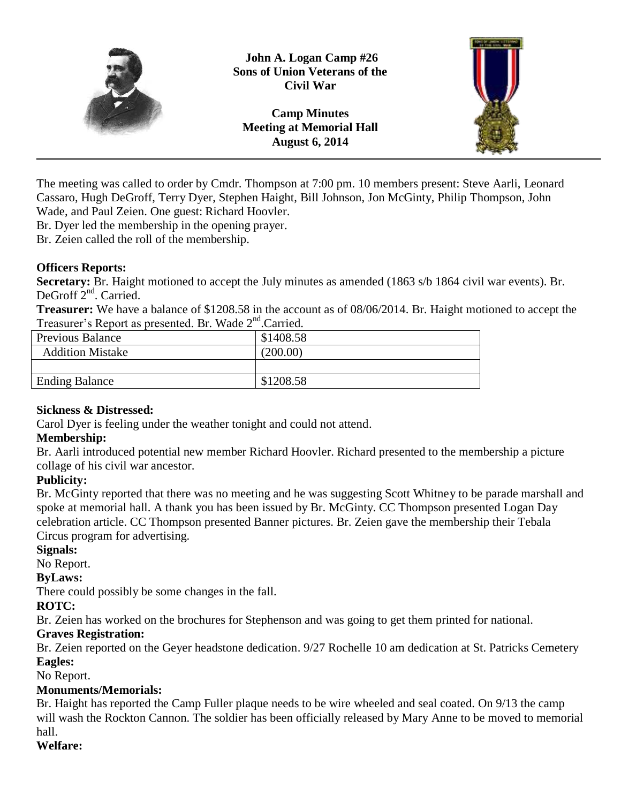

**John A. Logan Camp #26 Sons of Union Veterans of the Civil War**

**Camp Minutes Meeting at Memorial Hall August 6, 2014**



The meeting was called to order by Cmdr. Thompson at 7:00 pm. 10 members present: Steve Aarli, Leonard Cassaro, Hugh DeGroff, Terry Dyer, Stephen Haight, Bill Johnson, Jon McGinty, Philip Thompson, John Wade, and Paul Zeien. One guest: Richard Hoovler.

Br. Dyer led the membership in the opening prayer.

Br. Zeien called the roll of the membership.

## **Officers Reports:**

**Secretary:** Br. Haight motioned to accept the July minutes as amended (1863 s/b 1864 civil war events). Br. DeGroff 2<sup>nd</sup>. Carried.

**Treasurer:** We have a balance of \$1208.58 in the account as of 08/06/2014. Br. Haight motioned to accept the Treasurer's Report as presented. Br. Wade 2<sup>nd</sup>.Carried.

| <b>Previous Balance</b> | \$1408.58 |
|-------------------------|-----------|
| <b>Addition Mistake</b> | (200.00)  |
|                         |           |
| <b>Ending Balance</b>   | \$1208.58 |

### **Sickness & Distressed:**

Carol Dyer is feeling under the weather tonight and could not attend.

# **Membership:**

Br. Aarli introduced potential new member Richard Hoovler. Richard presented to the membership a picture collage of his civil war ancestor.

# **Publicity:**

Br. McGinty reported that there was no meeting and he was suggesting Scott Whitney to be parade marshall and spoke at memorial hall. A thank you has been issued by Br. McGinty. CC Thompson presented Logan Day celebration article. CC Thompson presented Banner pictures. Br. Zeien gave the membership their Tebala Circus program for advertising.

### **Signals:**

No Report.

### **ByLaws:**

There could possibly be some changes in the fall.

# **ROTC:**

Br. Zeien has worked on the brochures for Stephenson and was going to get them printed for national.

# **Graves Registration:**

Br. Zeien reported on the Geyer headstone dedication. 9/27 Rochelle 10 am dedication at St. Patricks Cemetery **Eagles:**

No Report.

# **Monuments/Memorials:**

Br. Haight has reported the Camp Fuller plaque needs to be wire wheeled and seal coated. On 9/13 the camp will wash the Rockton Cannon. The soldier has been officially released by Mary Anne to be moved to memorial hall.

# **Welfare:**